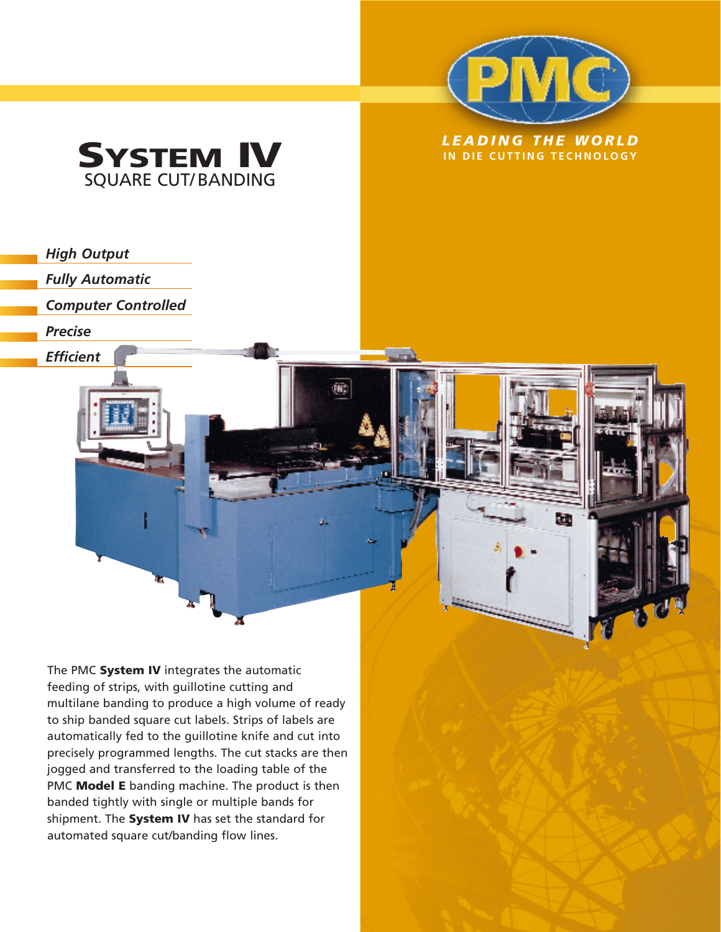

Ō.



*High Output* 

*Fully Automatic* 

*Computer Controlled* 

*Precise* 

*Efficient*

The PMC **System IV** integrates the automatic feeding of strips, with guillotine cutting and multilane banding to produce a high volume of ready to ship banded square cut labels. Strips of labels are automatically fed to the guillotine knife and cut into precisely programmed lengths. The cut stacks are then jogged and transferred to the loading table of the PMC **Model E** banding machine. The product is then banded tightly with single or multiple bands for shipment. The **System IV** has set the standard for automated square cut/banding flow lines.